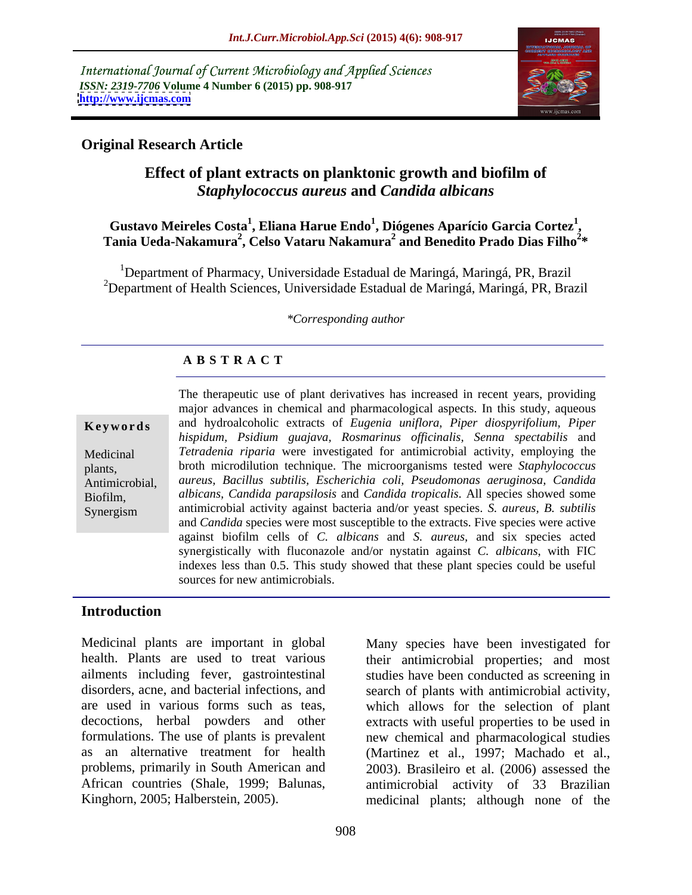International Journal of Current Microbiology and Applied Sciences *ISSN: 2319-7706* **Volume 4 Number 6 (2015) pp. 908-917 <http://www.ijcmas.com>**



# **Original Research Article**

# **Effect of plant extracts on planktonic growth and biofilm of**  *Staphylococcus aureus* **and** *Candida albicans*

### **Gustavo Meireles Costa<sup>1</sup> , Eliana Harue Endo<sup>1</sup> , Diógenes Aparício Garcia Cortez<sup>1</sup>** Gustavo Meireles Costa<sup>1</sup>, Eliana Harue Endo<sup>1</sup>, Diógenes Aparício Garcia Cortez<sup>1</sup>,<br>Tania Ueda-Nakamura<sup>2</sup>, Celso Vataru Nakamura<sup>2</sup> and Benedito Prado Dias Filho<sup>2</sup>\* **\***

<sup>1</sup>Department of Pharmacy, Universidade Estadual de Maringá, Maringá, PR, Brazil <sup>2</sup>Department of Health Sciences, Universidade Estadual de Maringá, Maringá, PR, Brazil

### *\*Corresponding author*

# **A B S T R A C T**

Synergism

The therapeutic use of plant derivatives has increased in recent years, providing major advances in chemical and pharmacological aspects. In this study, aqueous and hydroalcoholic extracts of *Eugenia uniflora, Piper diospyrifolium, Piper* **Ke ywo rds** *hispidum, Psidium guajava, Rosmarinus of icinalis, Senna spectabilis* and *Tetradenia riparia* were investigated for antimicrobial activity, employing the Medicinal broth microdilution technique. The microorganisms tested were *Staphylococcus*  plants, *aureus, Bacillus subtilis, Escherichia coli, Pseudomonas aeruginosa, Candida* Antimicrobial, *albicans, Candida parapsilosis* and *Candida tropicalis*. All species showed some Biofilm, antimicrobial activity against bacteria and/or yeast species. *S. aureus, B. subtilis* and *Candida* species were most susceptible to the extracts. Five species were active against biofilm cells of *C. albicans* and *S. aureus,* and six species acted synergistically with fluconazole and/or nystatin against *C. albicans*, with FIC indexes less than 0.5. This study showed that these plant species could be useful sources for new antimicrobials.

### **Introduction**

Medicinal plants are important in global Many species have been investigated for health. Plants are used to treat various ailments including fever, gastrointestinal disorders, acne, and bacterial infections, and search of plants with antimicrobial activity, are used in various forms such as teas, which allows for the selection of plant decoctions, herbal powders and other formulations. The use of plants is prevalent new chemical and pharmacological studies as an alternative treatment for health (Martinez et al., 1997; Machado et al., problems, primarily in South American and 2003). Brasileiro et al. (2006) assessed the African countries (Shale, 1999; Balunas,

Kinghorn, 2005; Halberstein, 2005). medicinal plants; although none of the their antimicrobial properties; and most studies have been conducted as screening in extracts with useful properties to be used in antimicrobial activity of 33 Brazilian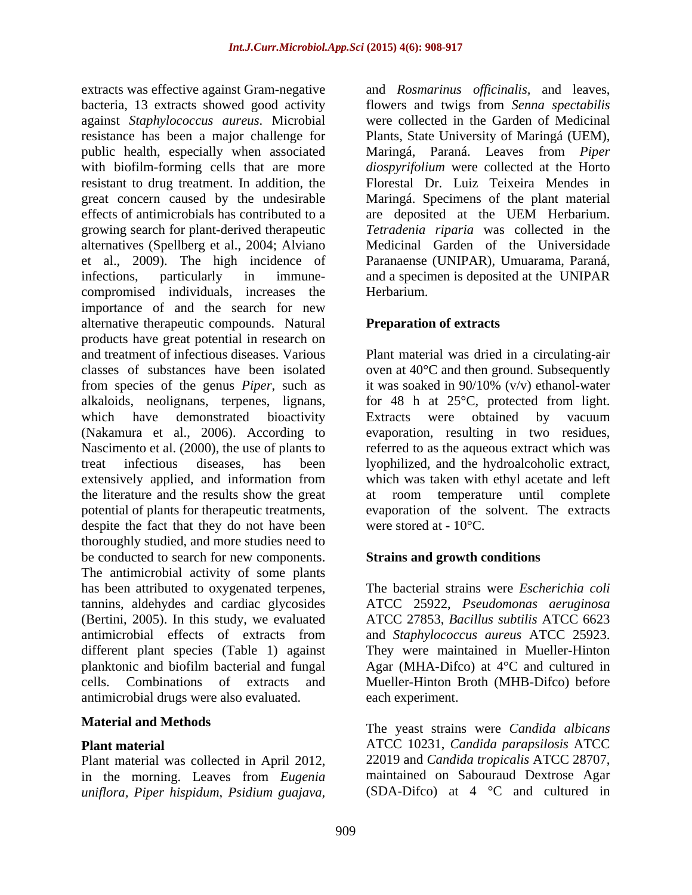extracts was effective against Gram-negative and *Rosmarinus officinalis*, and leaves, bacteria, 13 extracts showed good activity flowers and twigs from *Senna spectabilis* against *Staphylococcus aureus*. Microbial resistance has been a major challenge for Plants, State University of Maringá (UEM), public health, especially when associated Maringá, Paraná. Leaves from *Piper*  with biofilm-forming cells that are more *diospyrifolium* were collected at the Horto resistant to drug treatment. In addition, the Florestal Dr. Luiz Teixeira Mendes in great concern caused by the undesirable Maringá. Specimens of the plant material effects of antimicrobials has contributed to a are deposited at the UEM Herbarium. growing search for plant-derived therapeutic *Tetradenia riparia* was collected in the alternatives (Spellberg et al., 2004; Alviano et al., 2009). The high incidence of infections, particularly in immune- and a specimen is deposited at the UNIPAR compromised individuals, increases the importance of and the search for new alternative therapeutic compounds. Natural products have great potential in research on and treatment of infectious diseases. Various Plant material was dried in a circulating-air classes of substances have been isolated oven at 40°C and then ground. Subsequently from species of the genus *Piper*, such as alkaloids, neolignans, terpenes, lignans, for 48 h at 25°C, protected from light. which have demonstrated bioactivity Extracts were obtained by vacuum (Nakamura et al., 2006). According to evaporation, resulting in two residues, Nascimento et al. (2000), the use of plants to referred to as the aqueous extract which was treat infectious diseases, has been lyophilized, and the hydroalcoholic extract, extensively applied, and information from which was taken with ethyl acetate and left the literature and the results show the great at room temperature until complete potential of plants for therapeutic treatments, evaporation of the solvent. The extracts despite the fact that they do not have been thoroughly studied, and more studies need to be conducted to search for new components. The antimicrobial activity of some plants has been attributed to oxygenated terpenes, tannins, aldehydes and cardiac glycosides (Bertini, 2005). In this study, we evaluated antimicrobial effects of extracts from and Staphylococcus aureus ATCC 25923. different plant species (Table 1) against planktonic and biofilm bacterial and fungal Agar (MHA-Difco) at 4°C and cultured in cells. Combinations of extracts and Mueller-Hinton Broth (MHB-Difco) before antimicrobial drugs were also evaluated.

Plant material was collected in April 2012, in the morning. Leaves from *Eugenia uniflora, Piper hispidum, Psidium guajava,* 

were collected in the Garden of Medicinal are deposited at the UEM Herbarium. Medicinal Garden of the Universidade Paranaense (UNIPAR), Umuarama, Paraná, Herbarium.

# **Preparation of extracts**

it was soaked in 90/10% (v/v) ethanol-water were stored at  $-10^{\circ}$ C.

# **Strains and growth conditions**

The bacterial strains were *Escherichia coli* ATCC 25922, *Pseudomonas aeruginosa* ATCC 27853, *Bacillus subtilis* ATCC 6623 and *Staphylococcus aureus* ATCC 25923. They were maintained in Mueller-Hinton each experiment.

**Material and Methods** The yeast strains were *Candida albicans* **Plant material** ATCC 10231, *Candida parapsilosis* ATCC 22019 and *Candida tropicalis* ATCC 28707, maintained on Sabouraud Dextrose Agar (SDA-Difco) at 4 °C and cultured in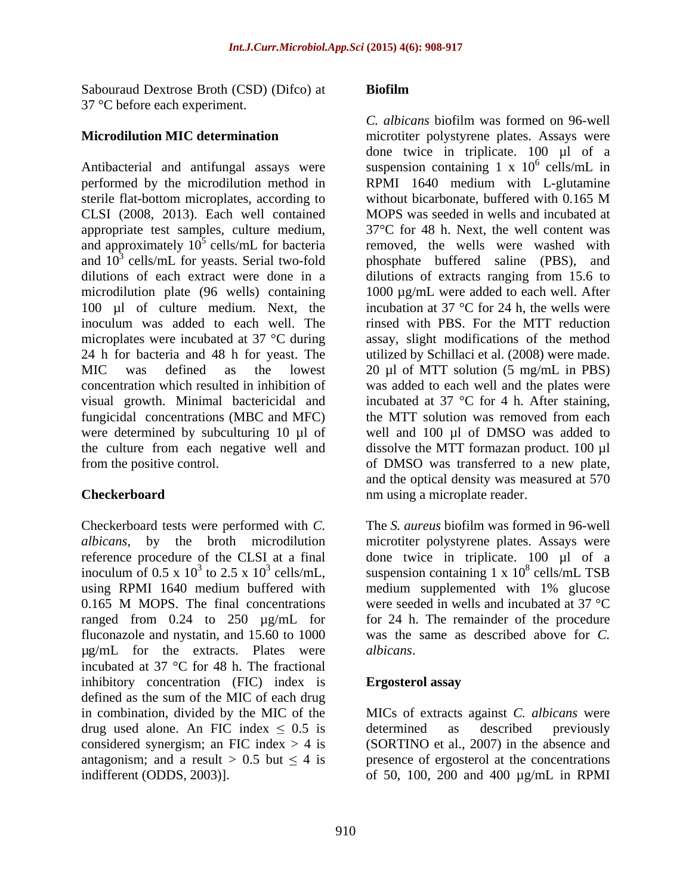Sabouraud Dextrose Broth (CSD) (Difco) at **Biofilm** 37 °C before each experiment.

Antibacterial and antifungal assays were suspension containing  $1 \times 10^6$  cells/mL in performed by the microdilution method in RPMI 1640 medium with L-glutamine sterile flat-bottom microplates, according to without bicarbonate, buffered with 0.165 M CLSI (2008, 2013). Each well contained appropriate test samples, culture medium, and approximately  $10^5$  cells/mL for bacteria and  $10^3$  cells/mL for yeasts. Serial two-fold phosphate buffered saline (PBS), and dilutions of each extract were done in a dilutions of extracts ranging from 15.6 to microdilution plate (96 wells) containing 100 µl of culture medium. Next, the inoculum was added to each well. The rinsed with PBS. For the MTT reduction microplates were incubated at 37 °C during assay, slight modifications of the method 24 h for bacteria and 48 h for yeast. The utilized by Schillaci et al. (2008) were made. MIC was defined as the lowest 20 µl of MTT solution (5 mg/mL in PBS) concentration which resulted in inhibition of was added to each well and the plates were visual growth. Minimal bactericidal and incubated at 37 °C for 4 h. After staining, fungicidal concentrations (MBC and MFC) the MTT solution was removed from each were determined by subculturing 10 µl of the culture from each negative well and dissolve the MTT formazan product. 100 µl

Checkerboard tests were performed with *C.*  using RPMI 1640 medium buffered with medium supplemented with 1% glucose ranged from 0.24 to 250 µg/mL for µg/mL for the extracts. Plates were incubated at 37 °C for 48 h. The fractional inhibitory concentration (FIC) index is **Ergosterol assay** defined as the sum of the MIC of each drug in combination, divided by the MIC of the MICs of extracts against *C. albicans* were drug used alone. An FIC index  $\leq 0.5$  is determined as described previously considered synergism; an FIC index  $> 4$  is antagonism; and a result  $> 0.5$  but  $\leq 4$  is presence of ergosterol at the concentrations indifferent (ODDS, 2003)]. of 50, 100, 200 and 400 µg/mL in RPMI

## **Biofilm**

**Microdilution MIC determination** microtiter polystyrene plates. Assays were <sup>5</sup> cells/mL for bacteria removed, the wells were washed with from the positive control. of DMSO was transferred to a new plate, **Checkerboard nm** using a microplate reader. *C. albicans* biofilm was formed on 96-well done twice in triplicate. 100 µl of a  $^6$  colle/m<sub>I</sub> in cells/mL in without bicarbonate, buffered with 0.165 M MOPS was seeded in wells and incubated at 37°C for 48 h. Next, the well content was 1000 µg/mL were added to each well. After incubation at 37  $\degree$ C for 24 h, the wells were well and 100 µl of DMSO was added to and the optical density was measured at 570

*albicans*, by the broth microdilution microtiter polystyrene plates. Assays were reference procedure of the CLSI at a final done twice in triplicate. 100 µl of a inoculum of 0.5 x 10<sup>3</sup> to 2.5 x 10<sup>3</sup> cells/mL, suspension containing 1 x 10<sup>8</sup> cells/mL TSB 0.165 M MOPS. The final concentrations were seeded in wells and incubated at 37  $^{\circ}$ C fluconazole and nystatin, and 15.60 to 1000 was the same as described above for *C.*  The *S. aureus* biofilm was formed in 96-well  $8$  collemn TCD cells/mL TSB medium supplemented with 1% glucose were seeded in wells and incubated at 37 °C for 24 h. The remainder of the procedure *albicans*.

# **Ergosterol assay**

determined as described previously (SORTINO et al., 2007) in the absence and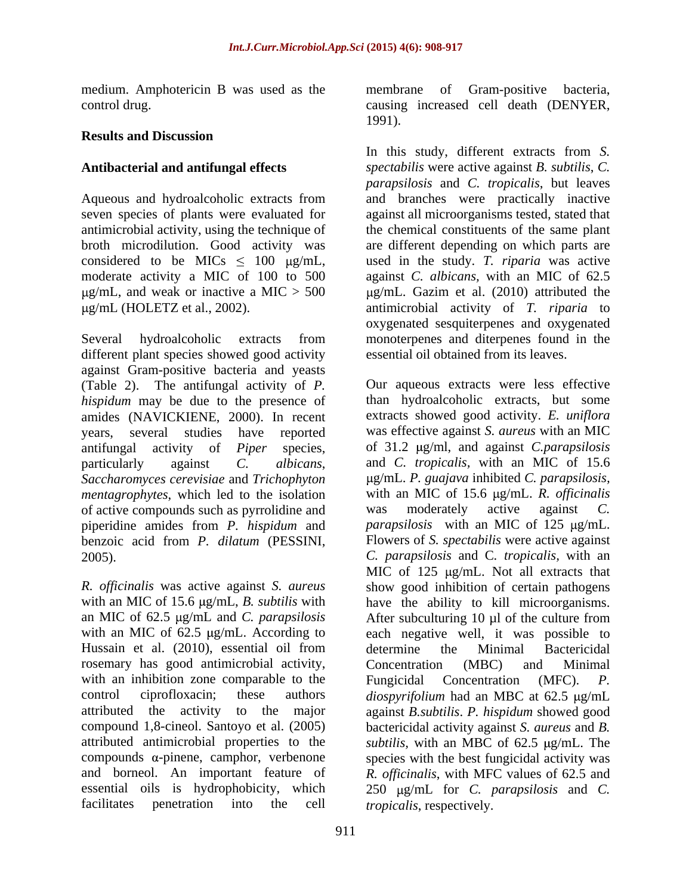medium. Amphotericin B was used as the membrane of Gram-positive bacteria,

# **Results and Discussion**

Several hydroalcoholic extracts from monoterpenes and diterpenes found in the different plant species showed good activity against Gram-positive bacteria and yeasts (Table 2). The antifungal activity of *P. hispidum* may be due to the presence of amides (NAVICKIENE, 2000). In recent *Saccharomyces cerevisiae* and *Trichophyton mentagrophytes*, which led to the isolation of active compounds such as pyrrolidine and was moderately active against C. piperidine amides from *P. hispidum* and benzoic acid from *P. dilatum* (PESSINI,

Hussain et al. (2010), essential oil from determine the Minimal Bactericidal rosemary has good antimicrobial activity, with an inhibition zone comparable to the  $\Box$  Fungicidal Concentration (MFC).  $P$ . facilitates penetration into the cell

control drug. causing increased cell death (DENYER, membrane of Gram-positive bacteria, 1991).

**Antibacterial and antifungal effects** *spectabilis* were active against *B. subtilis*, *C.*  Aqueous and hydroalcoholic extracts from and branches were practically inactive seven species of plants were evaluated for against all microorganisms tested, stated that antimicrobial activity, using the technique of the chemical constituents of the same plant broth microdilution. Good activity was are different depending on which parts are considered to be MICs  $\leq 100$   $\mu$ g/mL, used in the study. *T. riparia* was active moderate activity a MIC of 100 to 500 against *C. albicans,* with an MIC of 62.5 g/mL, and weak or inactive a MIC  $>$  500  $\mu$ g/mL. Gazim et al. (2010) attributed the g/mL (HOLETZ et al., 2002). antimicrobial activity of *T. riparia* to In this study, different extracts from *S. parapsilosis* and *C. tropicalis*, but leaves oxygenated sesquiterpenes and oxygenated essential oil obtained from its leaves.

years, several studies have reported was effective against *S. aureus* with an MIC antifungal activity of *Piper* species, of 31.2  $\mu$ g/ml, and against *C.parapsilosis* particularly against *C. albicans*, and *C. tropicalis,* with an MIC of 15.6 2005). *C. parapsilosis* and C*. tropicalis,* with an *R. of icinalis* was active against *S. aureus* show good inhibition of certain pathogens with an MIC of 15.6  $\mu$ g/mL, *B. subtilis* with have the ability to kill microorganisms. an MIC of 62.5  $\mu$ g/mL and *C. parapsilosis* After subculturing 10  $\mu$ l of the culture from with an MIC of 62.5  $\mu$ g/mL. According to each negative well, it was possible to control ciprofloxacin; these authors *diospyrifolium* had an MBC at 62.5 µg/mL attributed the activity to the major against *B.subtilis*. *P. hispidum* showed good compound 1,8-cineol. Santoyo et al. (2005) bactericidal activity against *S. aureus* and *B.*  attributed antimicrobial properties to the *subtilis*, with an MBC of 62.5 µg/mL. The compounds  $\alpha$ -pinene, camphor, verbenone species with the best fungicidal activity was and borneol. An important feature of R. *officinalis*, with MFC values of 62.5 and essential oils is hydrophobicity, which 250  $\mu$ g/mL for *C. parapsilosis* and *C.* Our aqueous extracts were less effective than hydroalcoholic extracts, but some extracts showed good activity. *E. uniflora* g/mL. *P. guajava* inhibited *C. parapsilosis,* with an MIC of 15.6  $\mu$ g/mL. *R. officinalis* was moderately active against *C. parapsilosis* with an MIC of 125  $\mu$ g/mL. Flowers of *S. spectabilis* were active against MIC of  $125 \mu g/mL$ . Not all extracts that determine the Minimal Bactericidal Concentration (MBC) and Minimal Fungicidal Concentration (MFC). *P. tropicalis*, respectively.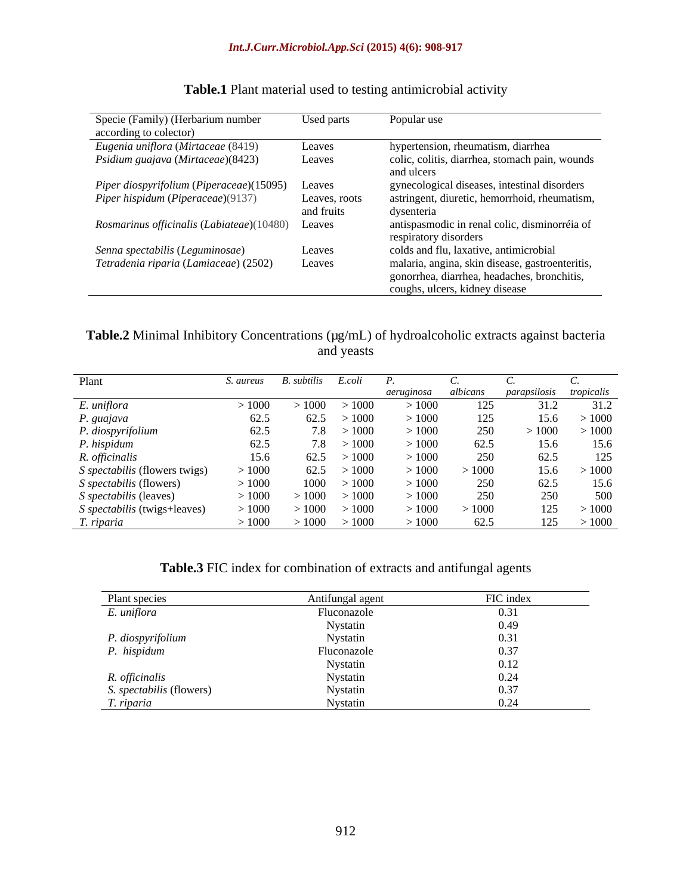| Specie (Family) (Herbarium number<br>according to colector) | Used parts                  | Popular use                                                                                                                      |
|-------------------------------------------------------------|-----------------------------|----------------------------------------------------------------------------------------------------------------------------------|
| Eugenia uniflora (Mirtaceae (8419)                          | Leaves                      | hypertension, rheumatism, diarrhea                                                                                               |
| Psidium guajava (Mirtaceae)(8423)                           | Leaves                      | colic, colitis, diarrhea, stomach pain, wounds<br>and ulcers                                                                     |
| Piper diospyrifolium (Piperaceae)(15095)                    | Leaves                      | gynecological diseases, intestinal disorders                                                                                     |
| Piper hispidum (Piperaceae)(9137)                           | Leaves, roots<br>and fruits | astringent, diuretic, hemorrhoid, rheumatism,<br>dysenteria                                                                      |
| Rosmarinus officinalis (Labiateae)(10480) Leaves            |                             | antispasmodic in renal colic, disminorréia of<br>respiratory disorders                                                           |
| Senna spectabilis (Leguminosae)                             | Leaves                      | colds and flu, laxative, antimicrobial                                                                                           |
| Tetradenia riparia (Lamiaceae) (2502)                       | Leaves                      | malaria, angina, skin disease, gastroenteritis,<br>gonorrhea, diarrhea, headaches, bronchitis,<br>coughs, ulcers, kidney disease |

# **Table.1** Plant material used to testing antimicrobial activity

# **Table.2** Minimal Inhibitory Concentrations ( $\mu$ g/mL) of hydroalcoholic extracts against bacteria<br>and yeasts and yeasts

| Plant                                          | S. aureus   | B. subtilis | E.coli       |                     |       |                         |       |
|------------------------------------------------|-------------|-------------|--------------|---------------------|-------|-------------------------|-------|
|                                                |             |             |              | aeruginosa albicans |       | parapsilosis tropicalis |       |
| E. uniflora<br>P. guajava<br>P. diospyrifolium | >1000       | $\geq 1000$ | >1000        | >1000               | 125   | 31.2                    | 31.2  |
|                                                | 62.5        | 62.5        | >1000        | >1000               | 125   | 15.6                    | >1000 |
|                                                | 62.5        |             | 7.8 > 1000   | >1000               | 250   | >1000                   | >1000 |
| P. hispidum                                    | 62.5        |             | $7.8$ > 1000 | >1000               | 62.5  | 15.6                    | 15.6  |
| R. officinalis                                 | 15.6        | 62.5        | >1000        | >1000               | 250   | 62.5                    | 125   |
| S spectabilis (flowers twigs)                  | >1000       |             | 62.5 > 1000  | >1000               | >1000 | 15.6                    | >1000 |
| <i>S spectabilis</i> (flowers)                 | >1000       | 1000        | >1000        | >1000               | 250   | 62.5                    | 15.6  |
| S spectabilis (leaves)                         | >1000       | 1000        | >1000        | >1000               | 250   | 250                     | 500   |
| S spectabilis (twigs+leaves)                   | $\sim 1000$ | >1000       | >1000        | >1000               | >1000 | 125                     | >1000 |
| T. riparia                                     | >1000       | $\geq 1000$ | >1000        | >1000               | 62.5  | 125                     | >1000 |

# **Table.3** FIC index for combination of extracts and antifungal agents

| Plant species                    | Antifungal agent | FIC index |
|----------------------------------|------------------|-----------|
| E. uniflora                      | Fluconazole      | 0.31      |
|                                  | Nystatin         | 0.49      |
|                                  | Nystatin         |           |
| P. diospyrifolium<br>P. hispidum | Fluconazole      |           |
|                                  | Nystatin         | 0.12      |
| R. officinalis                   | Nystatin         |           |
| S. spectabilis (flowers)         | Nystatin         |           |
| T. riparia                       | Nystatin         |           |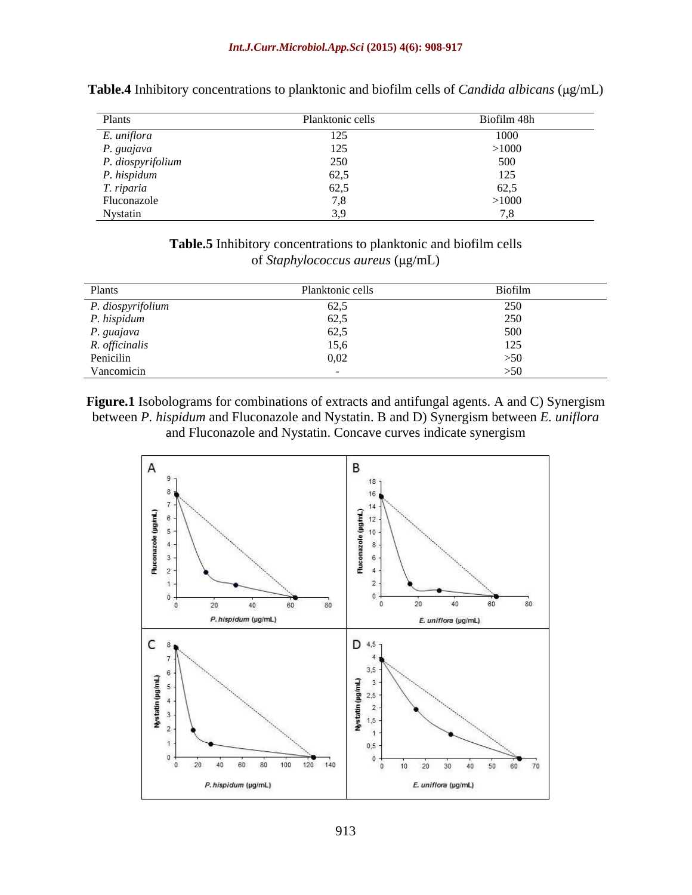| <b>Plants</b>                    | Planktonic cells | Biofilm 48h                   |
|----------------------------------|------------------|-------------------------------|
| E. uniflora                      |                  |                               |
| P. guajava                       | $\sim$ $\sim$    | >1000                         |
| P. diospyrifolium<br>P. hispidum | 250              |                               |
|                                  | 62,5             |                               |
| T. riparia                       |                  |                               |
| Fluconazole                      |                  | $\sim$ $\sim$ $\sim$<br>>1000 |
| Nystatin                         |                  |                               |

Table.4 Inhibitory concentrations to planktonic and biofilm cells of *Candida albicans* ( $\mu$ g/mL)

**Table.5** Inhibitory concentrations to planktonic and biofilm cells of *Staphylococcus aureus* (µg/mL)

| Plants                                                  | Planktonic cells | <b>Biofilm</b> |
|---------------------------------------------------------|------------------|----------------|
|                                                         | $\overline{C}$   |                |
| P. diospyrifc<br>P. hispidum                            | 505              |                |
|                                                         | 62 S             |                |
|                                                         |                  |                |
| <i>P. guajava</i><br><i>R. officinalis</i><br>Penicilin |                  |                |
| Vancomicin                                              |                  |                |

**Figure.1** Isobolograms for combinations of extracts and antifungal agents. A and C) Synergism between *P. hispidum* and Fluconazole and Nystatin. B and D) Synergism between *E. uniflora* and Fluconazole and Nystatin. Concave curves indicate synergism

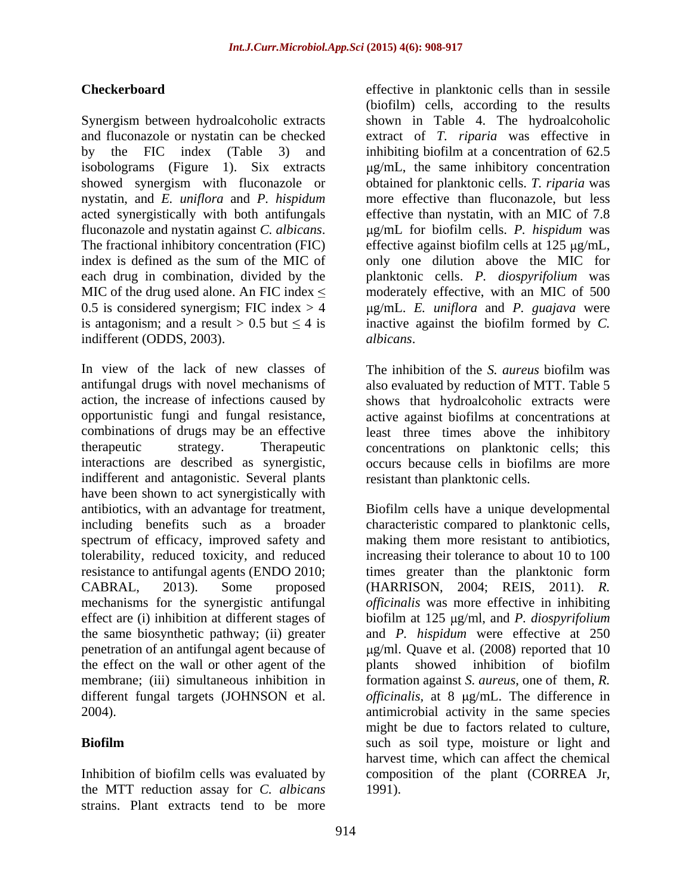isobolograms (Figure 1). Six extracts nystatin, and *E. uniflora* and *P. hispidum* acted synergistically with both antifungals MIC of the drug used alone. An FIC index  $\leq$ indifferent (ODDS, 2003). *albicans*.

In view of the lack of new classes of The inhibition of the S. *aureus* biofilm was antifungal drugs with novel mechanisms of also evaluated by reduction of MTT. Table 5 action, the increase of infections caused by shows that hydroalcoholic extracts were opportunistic fungi and fungal resistance, active against biofilms at concentrations at combinations of drugs may be an effective least three times above the inhibitory therapeutic strategy. Therapeutic concentrations on planktonic cells; this interactions are described as synergistic, occurs because cells in biofilms are more indifferent and antagonistic. Several plants have been shown to act synergistically with antibiotics, with an advantage for treatment, Biofilm cells have a unique developmental including benefits such as a broader characteristic compared to planktonic cells, spectrum of efficacy, improved safety and tolerability, reduced toxicity, and reduced increasing their tolerance to about 10 to 100 resistance to antifungal agents (ENDO 2010; times greater than the planktonic form CABRAL, 2013). Some proposed (HARRISON, 2004; REIS, 2011). *R.*  mechanisms for the synergistic antifungal *officinalis* was more effective in inhibiting effect are (i) inhibition at different stages of biofilm at 125 µg/ml, and *P. diospyrifolium* the same biosynthetic pathway; (ii) greater and *P. hispidum* were effective at 250 penetration of an antifungal agent because of  $\qquad \qquad$  µg/ml. Quave et al. (2008) reported that 10 the effect on the wall or other agent of the plants showed inhibition of biofilm membrane; (iii) simultaneous inhibition in formation against *S. aureus*, one of them, *R.* different fungal targets (JOHNSON et al. *officinalis*, at 8 µg/mL. The difference in 2004). antimicrobial activity in the same species

the MTT reduction assay for *C. albicans* strains. Plant extracts tend to be more

**Checkerboard** effective in planktonic cells than in sessile Synergism between hydroalcoholic extracts shown in Table 4. The hydroalcoholic and fluconazole or nystatin can be checked extract of *T. riparia* was effective in by the FIC index (Table 3) and inhibiting biofilm at a concentration of 62.5 showed synergism with fluconazole or obtained for planktonic cells. *T. riparia* was fluconazole and nystatin against *C. albicans*. <br>The fractional inhibitory concentration (FIC) effective against biofilm cells at 125 µg/mL, index is defined as the sum of the MIC of only one dilution above the MIC for each drug in combination, divided by the planktonic cells. *P. diospyrifolium* was 0.5 is considered synergism; FIC index > 4 g/mL. *E. uniflora* and *P. guajava* were is antagonism; and a result  $> 0.5$  but  $\leq 4$  is inactive against the biofilm formed by *C*. (biofilm) cells, according to the results g/mL, the same inhibitory concentration more effective than fluconazole, but less effective than nystatin, with an MIC of 7.8 g/mL for biofilm cells. *P. hispidum* was moderately effective, with an MIC of 500

*albicans*. The inhibition of the *S. aureus* biofilm was resistant than planktonic cells.

**Biofilm** such as soil type, moisture or light and Inhibition of biofilm cells was evaluated by composition of the plant (CORREA Jr, making them more resistant to antibiotics, plants showed inhibition of biofilm might be due to factors related to culture, harvest time, which can affect the chemical 1991).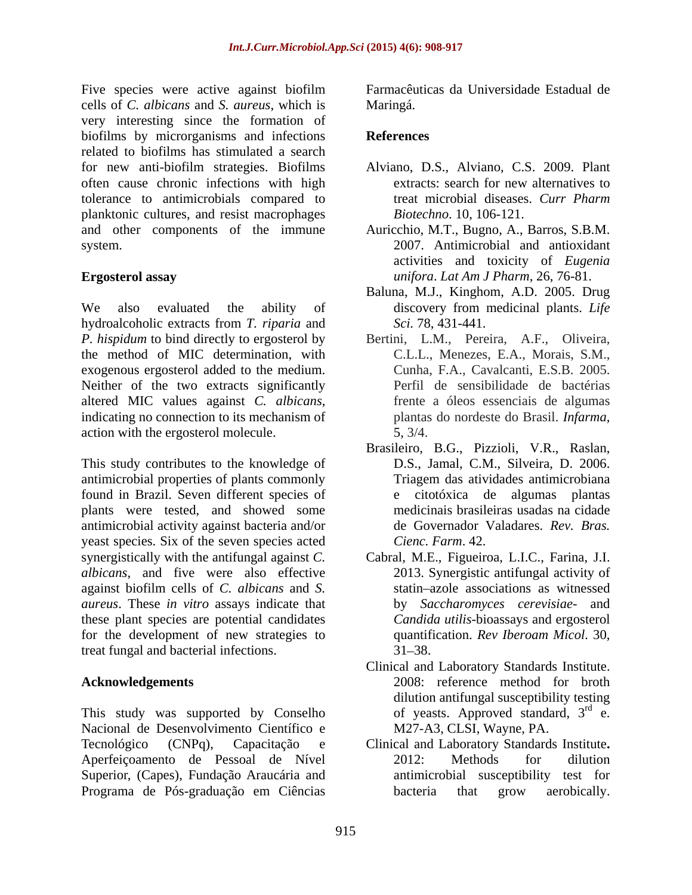Five species were active against biofilm cells of *C. albicans* and *S. aureus*, which is very interesting since the formation of biofilms by microrganisms and infections References related to biofilms has stimulated a search for new anti-biofilm strategies. Biofilms often cause chronic infections with high tolerance to antimicrobials compared to treat microbial diseases. Curr Pharm planktonic cultures, and resist macrophages<br>and other components of the immune and other components of the immune Auricchio, M.T., Bugno, A., Barros, S.B.M. system. 2007. Antimicrobial and antioxidant

We also evaluated the ability of discovery from medicinal plants. Life hydroalcoholic extracts from *T. riparia* and *P. hispidum* to bind directly to ergosterol by the method of MIC determination, with exogenous ergosterol added to the medium. Neither of the two extracts significantly altered MIC values against *C. albicans*, frente a óleos essenciais de algumas indicating no connection to its mechanism of plantas do nordeste do Brasil. *Infarma*, action with the ergosterol molecule. 5, 3/4.

This study contributes to the knowledge of antimicrobial properties of plants commonly found in Brazil. Seven different species of plants were tested, and showed some antimicrobial activity against bacteria and/or yeast species. Six of the seven species acted synergistically with the antifungal against *C.*  Cabral, M.E., Figueiroa, L.I.C., Farina, J.I. *albicans*, and five were also effective against biofilm cells of *C. albicans* and *S. aureus*. These *in vitro* assays indicate that these plant species are potential candidates for the development of new strategies to quantification. Rev Iberoam Micol. 30, treat fungal and bacterial infections. 31–38.

This study was supported by Conselho Nacional de Desenvolvimento Científico e Tecnológico (CNPq), Capacitação e Clinical and Laboratory Standards Institute**.** Aperfeiçoamento de Pessoal de Nível Superior, (Capes), Fundação Araucária and Programa de Pós-graduação em Ciências bacteria that grow aerobically.

Farmacêuticas da Universidade Estadual de Maringá.

# **References**

- Alviano, D.S., Alviano, C.S. 2009. Plant extracts: search for new alternatives to treat microbial diseases. *Curr Pharm Biotechno*. 10, 106-121.
- **Ergosterol assay** *unifora*. *Lat Am J Pharm*, 26, 76-81. activities and toxicity of *Eugenia* 
	- Baluna, M.J., Kinghom, A.D. 2005. Drug discovery from medicinal plants. *Life Sci.* 78, 431-441.
	- Bertini, L.M., Pereira, A.F., Oliveira, C.L.L., Menezes, E.A., Morais, S.M., Cunha, F.A., Cavalcanti, E.S.B. 2005. Perfil de sensibilidade de bactérias frente a óleos essenciais de algumas plantas do nordeste do Brasil. *Infarma,* 5, 3/4.
	- Brasileiro, B.G., Pizzioli, V.R., Raslan, D.S., Jamal, C.M., Silveira, D. 2006. Triagem das atividades antimicrobiana e citotóxica de algumas plantas medicinais brasileiras usadas na cidade de Governador Valadares. *Rev. Bras. Cienc. Farm*. 42.
	- 2013. Synergistic antifungal activity of statin azole associations as witnessed by *Saccharomyces cerevisiae*- and *Candida utilis*-bioassays and ergosterol quantification. *Rev Iberoam Micol*. 30,  $31 - 38.$
- Acknowledgements 2008: reference method for broth Clinical and Laboratory Standards Institute. 2008: reference method for broth dilution antifungal susceptibility testing of yeasts. Approved standard,  $3<sup>rd</sup>$  e. rd<sub>o</sub> e. M27-A3, CLSI, Wayne, PA.
	- 2012: Methods for dilution antimicrobial susceptibility test for bacteria that grow aerobically.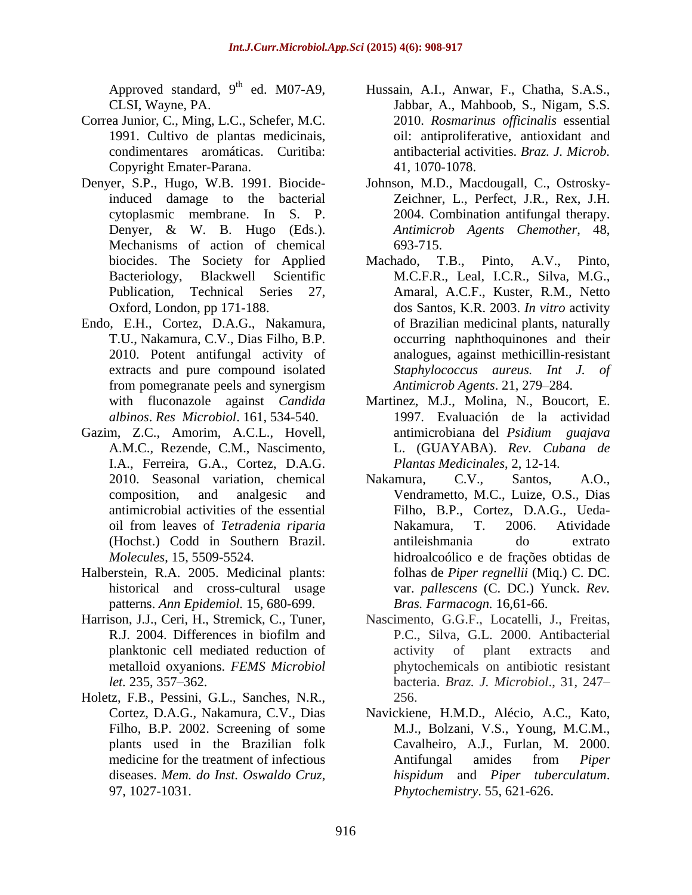- Correa Junior, C., Ming, L.C., Schefer, M.C. Copyright Emater-Parana.
- Denyer, S.P., Hugo, W.B. 1991. Biocide-Johnson, M.D., Macdougall, C., Ostrosky- Mechanisms of action of chemical 693-715.<br>biocides. The Society for Applied Machado, T
- Endo, E.H., Cortez, D.A.G., Nakamura,
- Gazim, Z.C., Amorim, A.C.L., Hovell, antimicrobiana del *Psidium guajava* I.A., Ferreira, G.A., Cortez, D.A.G.
- Halberstein, R.A. 2005. Medicinal plants: patterns. *Ann Epidemiol.* 15, 680-699.
- metalloid oxyanions. *FEMS Microbiol*
- Holetz, F.B., Pessini, G.L., Sanches, N.R.,
- Approved standard, 9<sup>th</sup> ed. M07-A9, Hussain, A.I., Anwar, F., Chatha, S.A.S., CLSI, Wayne, PA. Jabbar, A., Mahboob, S., Nigam, S.S. 1991. Cultivo de plantas medicinais, oil: antiproliferative, antioxidant and condimentares aromáticas. Curitiba: antibacterial activities. *Braz. J. Microb.* 2010. *Rosmarinus of icinalis* essential 41, 1070-1078.
- induced damage to the bacterial Zeichner, L., Perfect, J.R., Rex, J.H. cytoplasmic membrane. In S. P. 2004. Combination antifungal therapy. Denyer, & W. B. Hugo (Eds.). *Antimicrob Agents Chemother*, 48, 693-715.
- biocides. The Society for Applied Machado, T.B., Pinto, A.V., Pinto, Bacteriology, Blackwell Scientific M.C.F.R., Leal, I.C.R., Silva, M.G., Publication, Technical Series 27, Amaral, A.C.F., Kuster, R.M., Netto Oxford, London, pp 171-188. dos Santos, K.R. 2003. *In vitro* activity T.U., Nakamura, C.V., Dias Filho, B.P. occurring naphthoquinones and their 2010. Potent antifungal activity of analogues, against methicillin-resistant extracts and pure compound isolated Staphylococcus aureus. Int J. of from pomegranate peels and synergism Antimicrob Agents. 21, 279–284. of Brazilian medicinal plants, naturally *Staphylococcus aureus. Int J. of Antimicrob Agents*. 21, 279 284.
- with fluconazole against *Candida*  Martinez, M.J., Molina, N., Boucort, E. *albinos*. *Res Microbiol*. 161, 534-540. 1997. Evaluación de la actividad A.M.C., Rezende, C.M., Nascimento,  $L.$  (GUAYABA). Rev. Cubana de antimicrobiana del *Psidium guajava* L. (GUAYABA). *Rev. Cubana de Plantas Medicinales*, 2, 12-14.
- 2010. Seasonal variation, chemical Nakamura, C.V., Santos, A.O., composition, and analgesic and Vendrametto, M.C., Luize, O.S., Dias antimicrobial activities of the essential Filho, B.P., Cortez, D.A.G., Ueda oil from leaves of *Tetradenia riparia* (Hochst.) Codd in Southern Brazil. *Molecules*, 15, 5509-5524. hidroalcoólico e de frações obtidas de historical and cross-cultural usage var. *pallescens* (C. DC.) Yunck. *Rev.*  Nakamura, C.V., Santos, A.O., Nakamura, T. 2006. Atividade antileishmania do extrato folhas de *Piper regnellii* (Miq.) C. DC. *Bras. Farmacogn.* 16*,*61-66.
- Harrison, J.J., Ceri, H., Stremick, C., Tuner, Nascimento, G.G.F., Locatelli, J., Freitas, R.J. 2004. Differences in biofilm and P.C., Silva, G.L. 2000. Antibacterial planktonic cell mediated reduction of *let.* 235, 357 362. bacteria. *Braz. J. Microbiol*., 31, 247 P.C., Silva, G.L. 2000. Antibacterial activity of plant extracts and phytochemicals on antibiotic resistant 256.
	- Cortez, D.A.G., Nakamura, C.V., Dias Navickiene, H.M.D., Alécio, A.C., Kato, Filho, B.P. 2002. Screening of some M.J., Bolzani, V.S., Young, M.C.M., plants used in the Brazilian folk Cavalheiro, A.J., Furlan, M. 2000. medicine for the treatment of infectious Antifungal amides from *Piper* diseases. *Mem. do Inst. Oswaldo Cruz*, hispidum and *Piper tuberculatum.*<br>97, 1027-1031. *Phytochemistry.* 55, 621-626. Antifungal amides from *Piper hispidum* and *Piper tuberculatum*. *Phytochemistry*. 55, 621-626.